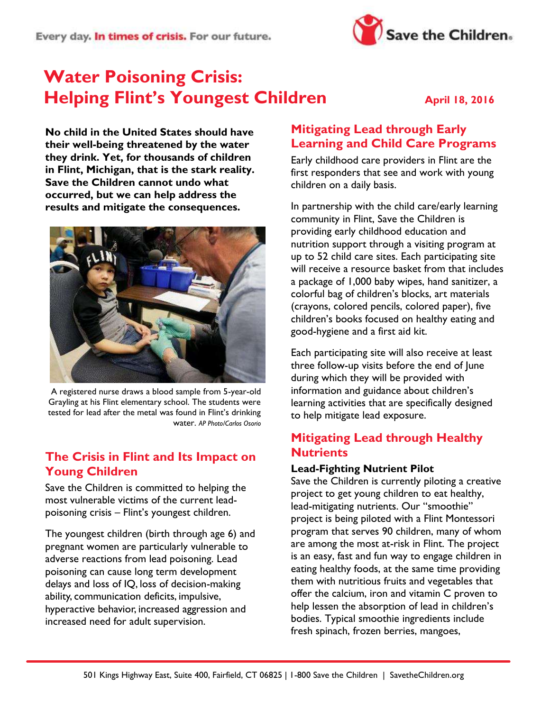

# **Water Poisoning Crisis: Helping Flint's Youngest Children** April 18, 2016

**No child in the United States should have their well-being threatened by the water they drink. Yet, for thousands of children in Flint, Michigan, that is the stark reality. Save the Children cannot undo what occurred, but we can help address the results and mitigate the consequences.**



A registered nurse draws a blood sample from 5-year-old Grayling at his Flint elementary school. The students were tested for lead after the metal was found in Flint's drinking water. *AP Photo/Carlos Osorio*

### **The Crisis in Flint and Its Impact on Young Children**

Save the Children is committed to helping the most vulnerable victims of the current leadpoisoning crisis – Flint's youngest children.

The youngest children (birth through age 6) and pregnant women are particularly vulnerable to adverse reactions from lead poisoning. Lead poisoning can cause long term development delays and loss of IQ, loss of decision-making ability, communication deficits, impulsive, hyperactive behavior, increased aggression and increased need for adult supervision.

#### **Mitigating Lead through Early Learning and Child Care Programs**

Early childhood care providers in Flint are the first responders that see and work with young children on a daily basis.

In partnership with the child care/early learning community in Flint, Save the Children is providing early childhood education and nutrition support through a visiting program at up to 52 child care sites. Each participating site will receive a resource basket from that includes a package of 1,000 baby wipes, hand sanitizer, a colorful bag of children's blocks, art materials (crayons, colored pencils, colored paper), five children's books focused on healthy eating and good-hygiene and a first aid kit.

Each participating site will also receive at least three follow-up visits before the end of June during which they will be provided with information and guidance about children's learning activities that are specifically designed to help mitigate lead exposure.

## **Mitigating Lead through Healthy Nutrients**

#### **Lead-Fighting Nutrient Pilot**

Save the Children is currently piloting a creative project to get young children to eat healthy, lead-mitigating nutrients. Our "smoothie" project is being piloted with a Flint Montessori program that serves 90 children, many of whom are among the most at-risk in Flint. The project is an easy, fast and fun way to engage children in eating healthy foods, at the same time providing them with nutritious fruits and vegetables that offer the calcium, iron and vitamin C proven to help lessen the absorption of lead in children's bodies. Typical smoothie ingredients include fresh spinach, frozen berries, mangoes,